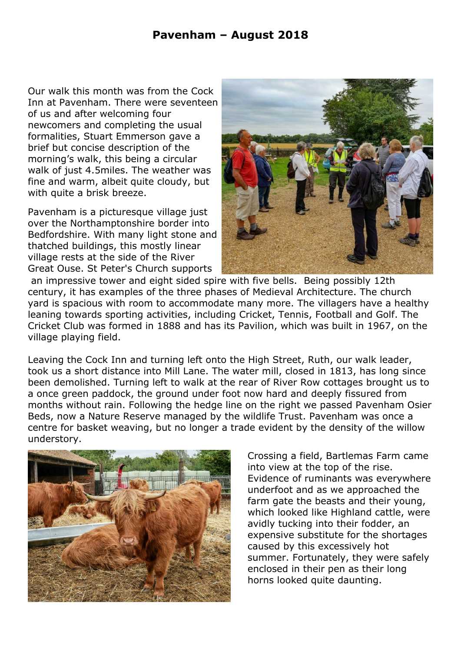## **Pavenham – August 2018**

Our walk this month was from the Cock Inn at Pavenham. There were seventeen of us and after welcoming four newcomers and completing the usual formalities, Stuart Emmerson gave a brief but concise description of the morning's walk, this being a circular walk of just 4.5miles. The weather was fine and warm, albeit quite cloudy, but with quite a brisk breeze.

Pavenham is a picturesque village just over the Northamptonshire border into Bedfordshire. With many light stone and thatched buildings, this mostly linear village rests at the side of the River Great Ouse. St Peter's Church supports



 an impressive tower and eight sided spire with five bells. Being possibly 12th century, it has examples of the three phases of Medieval Architecture. The church yard is spacious with room to accommodate many more. The villagers have a healthy leaning towards sporting activities, including Cricket, Tennis, Football and Golf. The Cricket Club was formed in 1888 and has its Pavilion, which was built in 1967, on the village playing field.

Leaving the Cock Inn and turning left onto the High Street, Ruth, our walk leader, took us a short distance into Mill Lane. The water mill, closed in 1813, has long since been demolished. Turning left to walk at the rear of River Row cottages brought us to a once green paddock, the ground under foot now hard and deeply fissured from months without rain. Following the hedge line on the right we passed Pavenham Osier Beds, now a Nature Reserve managed by the wildlife Trust. Pavenham was once a centre for basket weaving, but no longer a trade evident by the density of the willow understory.



Crossing a field, Bartlemas Farm came into view at the top of the rise. Evidence of ruminants was everywhere underfoot and as we approached the farm gate the beasts and their young, which looked like Highland cattle, were avidly tucking into their fodder, an expensive substitute for the shortages caused by this excessively hot summer. Fortunately, they were safely enclosed in their pen as their long horns looked quite daunting.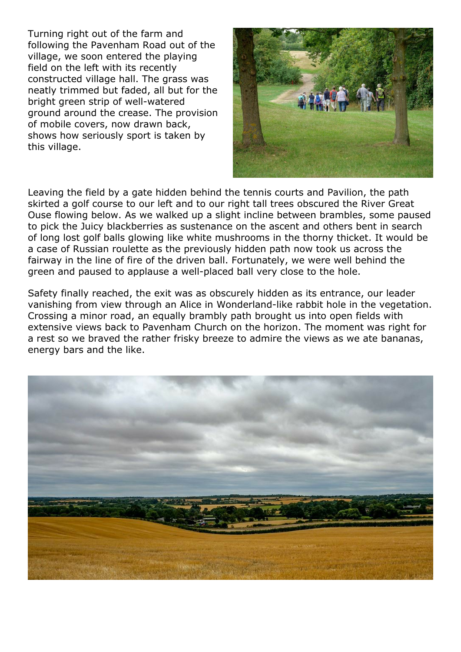Turning right out of the farm and following the Pavenham Road out of the village, we soon entered the playing field on the left with its recently constructed village hall. The grass was neatly trimmed but faded, all but for the bright green strip of well-watered ground around the crease. The provision of mobile covers, now drawn back, shows how seriously sport is taken by this village.



Leaving the field by a gate hidden behind the tennis courts and Pavilion, the path skirted a golf course to our left and to our right tall trees obscured the River Great Ouse flowing below. As we walked up a slight incline between brambles, some paused to pick the Juicy blackberries as sustenance on the ascent and others bent in search of long lost golf balls glowing like white mushrooms in the thorny thicket. It would be a case of Russian roulette as the previously hidden path now took us across the fairway in the line of fire of the driven ball. Fortunately, we were well behind the green and paused to applause a well-placed ball very close to the hole.

Safety finally reached, the exit was as obscurely hidden as its entrance, our leader vanishing from view through an Alice in Wonderland-like rabbit hole in the vegetation. Crossing a minor road, an equally brambly path brought us into open fields with extensive views back to Pavenham Church on the horizon. The moment was right for a rest so we braved the rather frisky breeze to admire the views as we ate bananas, energy bars and the like.